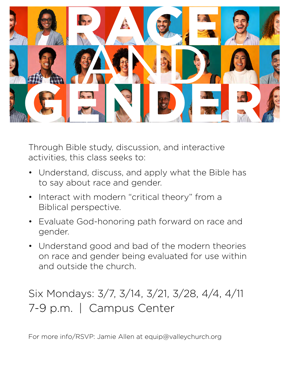

Through Bible study, discussion, and interactive activities, this class seeks to:

- Understand, discuss, and apply what the Bible has to say about race and gender.  $\bullet$
- Interact with modern "critical theory" from a Biblical perspective. •
- Evaluate God-honoring path forward on race and gender.  $\bullet$
- Understand good and bad of the modern theories on race and gender being evaluated for use within and outside the church. •

## Six Mondays: 3/7, 3/14, 3/21, 3/28, 4/4, 4/11 7-9 p.m. | Campus Center

For more info/RSVP: Jamie Allen at equip@valleychurch.org